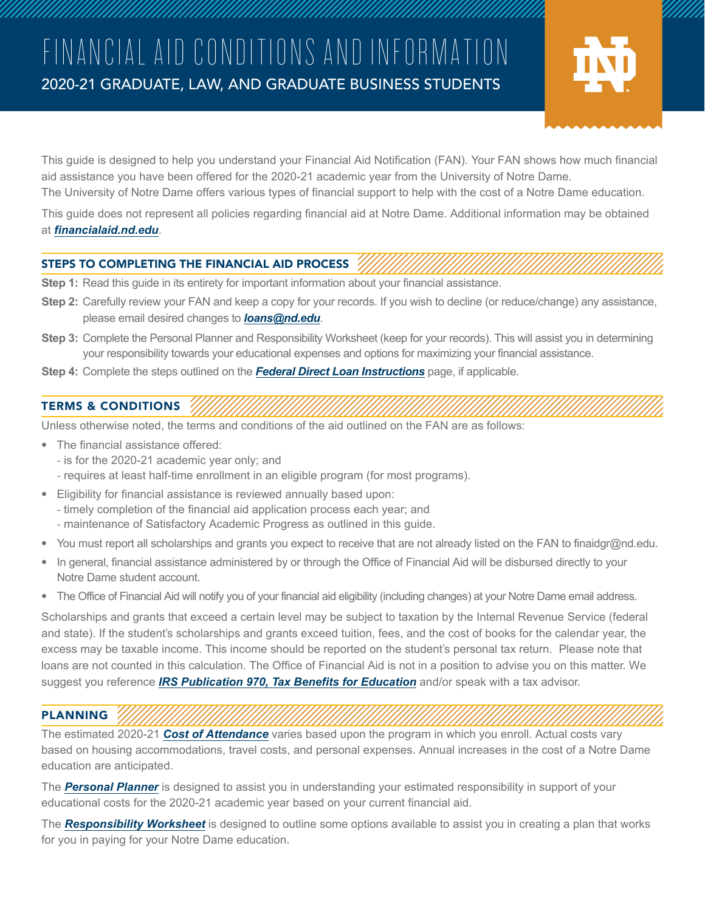# FINANCIAL AID CONDITIONS AND INFORMATION 2020-21 GRADUATE, LAW, AND GRADUATE BUSINESS STUDENTS



This guide is designed to help you understand your Financial Aid Notification (FAN). Your FAN shows how much financial aid assistance you have been offered for the 2020-21 academic year from the University of Notre Dame. The University of Notre Dame offers various types of financial support to help with the cost of a Notre Dame education.

This guide does not represent all policies regarding financial aid at Notre Dame. Additional information may be obtained at *[financialaid.nd.edu](http://financialaid.nd.edu)*.

### STEPS TO COMPLETING THE FINANCIAL AID PROCESS

- **Step 1:** Read this guide in its entirety for important information about your financial assistance.
- **Step 2:** Carefully review your FAN and keep a copy for your records. If you wish to decline (or reduce/change) any assistance, please email desired changes to *[loans@nd.edu](mailto:loans%40nd.edu?subject=Changes%20to%20FAN)*.
- **Step 3:** Complete the Personal Planner and Responsibility Worksheet (keep for your records). This will assist you in determining your responsibility towards your educational expenses and options for maximizing your financial assistance.
- **Step 4:** Complete the steps outlined on the *[Federal Direct Loan Instructions](http://financialaid.nd.edu/federal-direct-loan-instructions/)* page, if applicable.

## TERMS & CONDITIONS

Unless otherwise noted, the terms and conditions of the aid outlined on the FAN are as follows:

- The financial assistance offered:
	- is for the 2020-21 academic year only; and
	- requires at least half-time enrollment in an eligible program (for most programs).
- Eligibility for financial assistance is reviewed annually based upon:
	- timely completion of the financial aid application process each year; and
	- maintenance of Satisfactory Academic Progress as outlined in this guide.
- You must report all scholarships and grants you expect to receive that are not already listed on the FAN to finaidgr@nd.edu.
- In general, financial assistance administered by or through the Office of Financial Aid will be disbursed directly to your Notre Dame student account.
- The Office of Financial Aid will notify you of your financial aid eligibility (including changes) at your Notre Dame email address.

Scholarships and grants that exceed a certain level may be subject to taxation by the Internal Revenue Service (federal and state). If the student's scholarships and grants exceed tuition, fees, and the cost of books for the calendar year, the excess may be taxable income. This income should be reported on the student's personal tax return. Please note that loans are not counted in this calculation. The Office of Financial Aid is not in a position to advise you on this matter. We suggest you reference *[IRS Publication 970, Tax Benefits for Education](https://www.irs.gov/pub/irs-pdf/p970.pdf)* and/or speak with a tax advisor.

## PLANNING

The estimated 2020-21 *[Cost of Attendance](https://financialaid.nd.edu/graduate-students/planning/)* varies based upon the program in which you enroll. Actual costs vary based on housing accommodations, travel costs, and personal expenses. Annual increases in the cost of a Notre Dame education are anticipated.

The *[Personal Planner](#page--1-0)* is designed to assist you in understanding your estimated responsibility in support of your educational costs for the 2020-21 academic year based on your current financial aid.

The *[Responsibility Worksheet](#page--1-0)* is designed to outline some options available to assist you in creating a plan that works for you in paying for your Notre Dame education.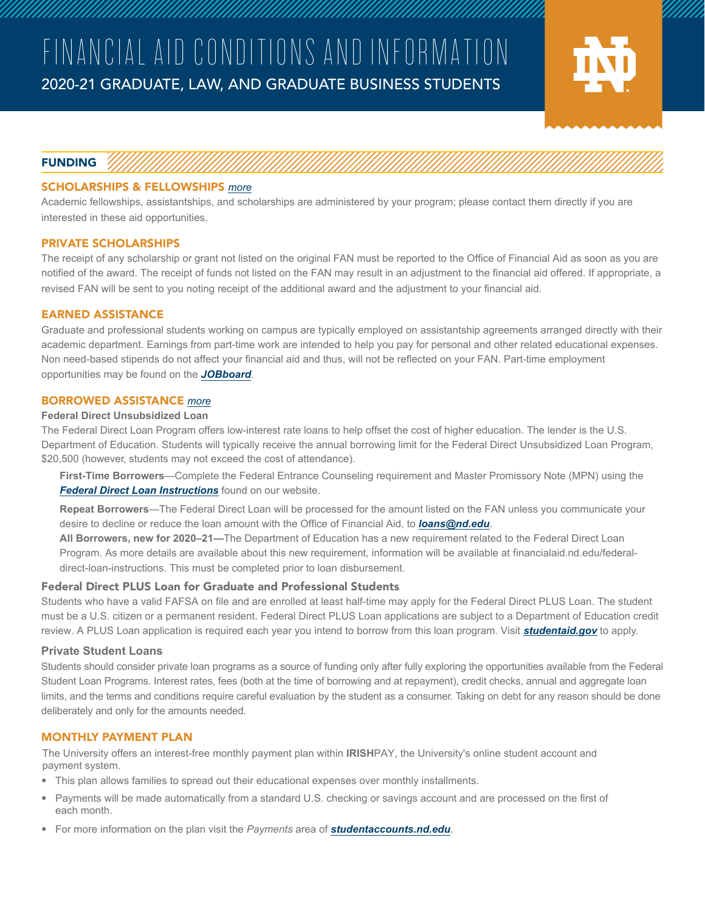

#### FUNDING

#### SCHOLARSHIPS & FELLOWSHIPS *[more](http://financialaid.nd.edu/graduate-students/funding/scholarship-fellowship-assistance/)*

Academic fellowships, assistantships, and scholarships are administered by your program; please contact them directly if you are interested in these aid opportunities.

#### PRIVATE SCHOLARSHIPS

The receipt of any scholarship or grant not listed on the original FAN must be reported to the Office of Financial Aid as soon as you are notified of the award. The receipt of funds not listed on the FAN may result in an adjustment to the financial aid offered. If appropriate, a revised FAN will be sent to you noting receipt of the additional award and the adjustment to your financial aid.

#### EARNED ASSISTANCE

Graduate and professional students working on campus are typically employed on assistantship agreements arranged directly with their academic department. Earnings from part-time work are intended to help you pay for personal and other related educational expenses. Non need-based stipends do not affect your financial aid and thus, will not be reflected on your FAN. Part-time employment opportunities may be found on the *[JOBboard](https://financialaid.nd.edu/jobboard/)*.

#### BORROWED ASSISTANCE *[more](http://financialaid.nd.edu/graduate-students/funding/borrowed-assistance/)*

#### **Federal Direct Unsubsidized Loan**

The Federal Direct Loan Program offers low-interest rate loans to help offset the cost of higher education. The lender is the U.S. Department of Education. Students will typically receive the annual borrowing limit for the Federal Direct Unsubsidized Loan Program, \$20,500 (however, students may not exceed the cost of attendance).

**First-Time Borrowers**—Complete the Federal Entrance Counseling requirement and Master Promissory Note (MPN) using the *[Federal Direct Loan Instructions](http://financialaid.nd.edu/federal-direct-loan-instructions/)* found on our website.

**Repeat Borrowers**—The Federal Direct Loan will be processed for the amount listed on the FAN unless you communicate your desire to decline or reduce the loan amount with the Office of Financial Aid, to *[loans@nd.edu](mailto:loans%40nd.edu?subject=Changes%20to%20FAN)*.

**All Borrowers, new for 2020–21—**The Department of Education has a new requirement related to the Federal Direct Loan Program. As more details are available about this new requirement, information will be available at financialaid.nd.edu/federaldirect-loan-instructions. This must be completed prior to loan disbursement.

#### Federal Direct PLUS Loan for Graduate and Professional Students

Students who have a valid FAFSA on file and are enrolled at least half-time may apply for the Federal Direct PLUS Loan. The student must be a U.S. citizen or a permanent resident. Federal Direct PLUS Loan applications are subject to a Department of Education credit review. A PLUS Loan application is required each year you intend to borrow from this loan program. Visit *[student](https://studentloans.gov/myDirectLoan/index.action)aid.gov* to apply.

#### **Private Student Loans**

Students should consider private loan programs as a source of funding only after fully exploring the opportunities available from the Federal Student Loan Programs. Interest rates, fees (both at the time of borrowing and at repayment), credit checks, annual and aggregate loan limits, and the terms and conditions require careful evaluation by the student as a consumer. Taking on debt for any reason should be done deliberately and only for the amounts needed.

#### MONTHLY PAYMENT PLAN

The University offers an interest-free monthly payment plan within **IRISH**PAY, the University's online student account and payment system.

- This plan allows families to spread out their educational expenses over monthly installments.
- Payments will be made automatically from a standard U.S. checking or savings account and are processed on the first of each month.
- For more information on the plan visit the *Payments* area of *[studentaccounts.nd.edu](http://www.studentaccounts.nd.edu)*.